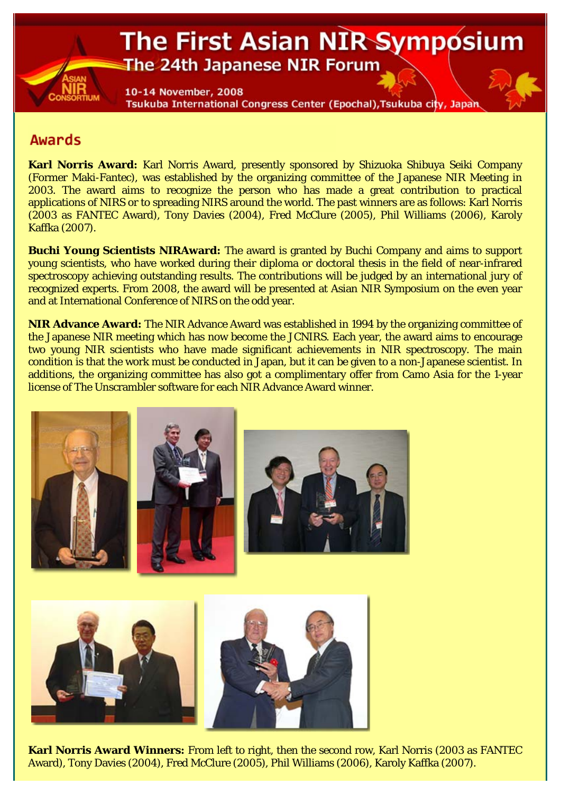## The First Asian NIR Symposium The 24th Japanese NIR Forum

10-14 November, 2008 Tsukuba International Congress Center (Epochal), Tsukuba city, Japan

## **Awards**

**Karl Norris Award:** Karl Norris Award, presently sponsored by Shizuoka Shibuya Seiki Company (Former Maki-Fantec), was established by the organizing committee of the Japanese NIR Meeting in 2003. The award aims to recognize the person who has made a great contribution to practical applications of NIRS or to spreading NIRS around the world. The past winners are as follows: Karl Norris (2003 as FANTEC Award), Tony Davies (2004), Fred McClure (2005), Phil Williams (2006), Karoly Kaffka (2007).

**Buchi Young Scientists NIRAward:** The award is granted by Buchi Company and aims to support young scientists, who have worked during their diploma or doctoral thesis in the field of near-infrared spectroscopy achieving outstanding results. The contributions will be judged by an international jury of recognized experts. From 2008, the award will be presented at Asian NIR Symposium on the even year and at International Conference of NIRS on the odd year.

**NIR Advance Award:** The NIR Advance Award was established in 1994 by the organizing committee of the Japanese NIR meeting which has now become the JCNIRS. Each year, the award aims to encourage two young NIR scientists who have made significant achievements in NIR spectroscopy. The main condition is that the work must be conducted in Japan, but it can be given to a non-Japanese scientist. In additions, the organizing committee has also got a complimentary offer from Camo Asia for the 1-year license of The Unscrambler software for each NIR Advance Award winner.



**Karl Norris Award Winners:** From left to right, then the second row, Karl Norris (2003 as FANTEC Award), Tony Davies (2004), Fred McClure (2005), Phil Williams (2006), Karoly Kaffka (2007).